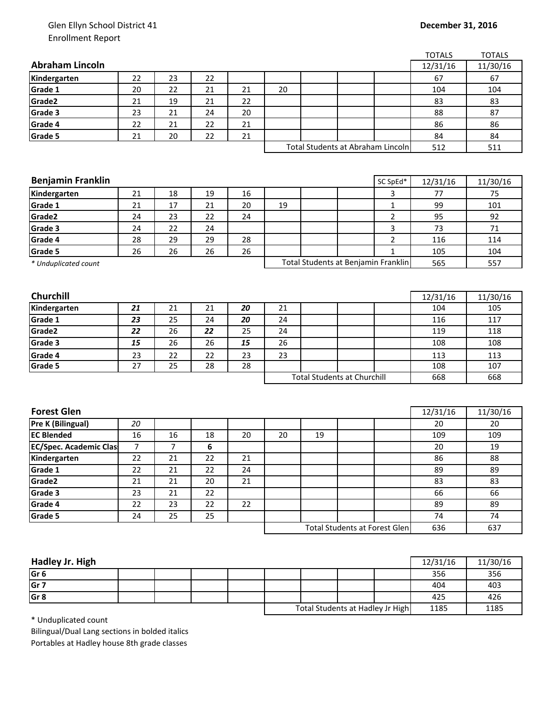## Glen Ellyn School District 41 Enrollment Report

|                               |    |    |    |    |    |    |                                      |                | <b>TOTALS</b> | <b>TOTALS</b> |
|-------------------------------|----|----|----|----|----|----|--------------------------------------|----------------|---------------|---------------|
| <b>Abraham Lincoln</b>        |    |    |    |    |    |    |                                      |                | 12/31/16      | 11/30/16      |
| Kindergarten                  | 22 | 23 | 22 |    |    |    |                                      |                | 67            | 67            |
| Grade 1                       | 20 | 22 | 21 | 21 | 20 |    |                                      |                | 104           | 104           |
| Grade2                        | 21 | 19 | 21 | 22 |    |    |                                      |                | 83            | 83            |
| Grade 3                       | 23 | 21 | 24 | 20 |    |    |                                      |                | 88            | 87            |
| Grade 4                       | 22 | 21 | 22 | 21 |    |    |                                      |                | 86            | 86            |
| Grade 5                       | 21 | 20 | 22 | 21 |    |    |                                      |                | 84            | 84            |
|                               |    |    |    |    |    |    | Total Students at Abraham Lincoln    |                | 512           | 511           |
|                               |    |    |    |    |    |    |                                      |                |               |               |
|                               |    |    |    |    |    |    |                                      |                |               |               |
| <b>Benjamin Franklin</b>      |    |    |    |    |    |    |                                      | SC SpEd*       | 12/31/16      | 11/30/16      |
| Kindergarten                  | 21 | 18 | 19 | 16 |    |    |                                      | 3              | 77            | 75            |
| Grade 1                       | 21 | 17 | 21 | 20 | 19 |    |                                      | $\mathbf{1}$   | 99            | 101           |
| Grade2                        | 24 | 23 | 22 | 24 |    |    |                                      | $\overline{2}$ | 95            | 92            |
| Grade 3                       | 24 | 22 | 24 |    |    |    |                                      | 3              | 73            | 71            |
| Grade 4                       | 28 | 29 | 29 | 28 |    |    |                                      | $\overline{2}$ | 116           | 114           |
| Grade 5                       | 26 | 26 | 26 | 26 |    |    |                                      | $\mathbf{1}$   | 105           | 104           |
| * Unduplicated count          |    |    |    |    |    |    | Total Students at Benjamin Franklin  |                | 565           | 557           |
|                               |    |    |    |    |    |    |                                      |                |               |               |
|                               |    |    |    |    |    |    |                                      |                |               |               |
| Churchill                     |    |    |    |    |    |    |                                      |                | 12/31/16      | 11/30/16      |
| Kindergarten                  | 21 | 21 | 21 | 20 | 21 |    |                                      |                | 104           | 105           |
| Grade 1                       | 23 | 25 | 24 | 20 | 24 |    |                                      |                | 116           | 117           |
| Grade2                        | 22 | 26 | 22 | 25 | 24 |    |                                      |                | 119           | 118           |
| Grade 3                       | 15 | 26 | 26 | 15 | 26 |    |                                      |                | 108           | 108           |
| Grade 4                       | 23 | 22 | 22 | 23 | 23 |    |                                      |                | 113           | 113           |
| Grade 5                       | 27 | 25 | 28 | 28 |    |    |                                      |                | 108           | 107           |
|                               |    |    |    |    |    |    | <b>Total Students at Churchill</b>   |                | 668           | 668           |
|                               |    |    |    |    |    |    |                                      |                |               |               |
|                               |    |    |    |    |    |    |                                      |                |               |               |
| <b>Forest Glen</b>            |    |    |    |    |    |    |                                      |                | 12/31/16      | 11/30/16      |
| <b>Pre K (Bilingual)</b>      | 20 |    |    |    |    |    |                                      |                | 20            | 20            |
| <b>EC Blended</b>             | 16 | 16 | 18 | 20 | 20 | 19 |                                      |                | 109           | 109           |
| <b>EC/Spec. Academic Clas</b> | 7  | 7  | 6  |    |    |    |                                      |                | 20            | 19            |
| Kindergarten                  | 22 | 21 | 22 | 21 |    |    |                                      |                | 86            | 88            |
| Grade 1                       | 22 | 21 | 22 | 24 |    |    |                                      |                | 89            | 89            |
| Grade2                        | 21 | 21 | 20 | 21 |    |    |                                      |                | 83            | 83            |
| Grade 3                       | 23 | 21 | 22 |    |    |    |                                      |                | 66            | 66            |
| Grade 4                       | 22 | 23 | 22 | 22 |    |    |                                      |                | 89            | 89            |
| Grade 5                       | 24 | 25 | 25 |    |    |    |                                      |                | 74            | 74            |
|                               |    |    |    |    |    |    | <b>Total Students at Forest Glen</b> |                | 636           | 637           |
|                               |    |    |    |    |    |    |                                      |                |               |               |

| Hadley Jr. High |  |  |                                  |  |      | 12/31/16 | 11/30/16 |
|-----------------|--|--|----------------------------------|--|------|----------|----------|
| Gr <sub>6</sub> |  |  |                                  |  |      | 356      | 356      |
| Gr <sub>7</sub> |  |  |                                  |  |      | 404      | 403      |
| Gr <sub>8</sub> |  |  |                                  |  |      | 425      | 426      |
|                 |  |  | Total Students at Hadley Jr High |  | 1185 | 1185     |          |

\* Unduplicated count

Bilingual/Dual Lang sections in bolded italics Portables at Hadley house 8th grade classes